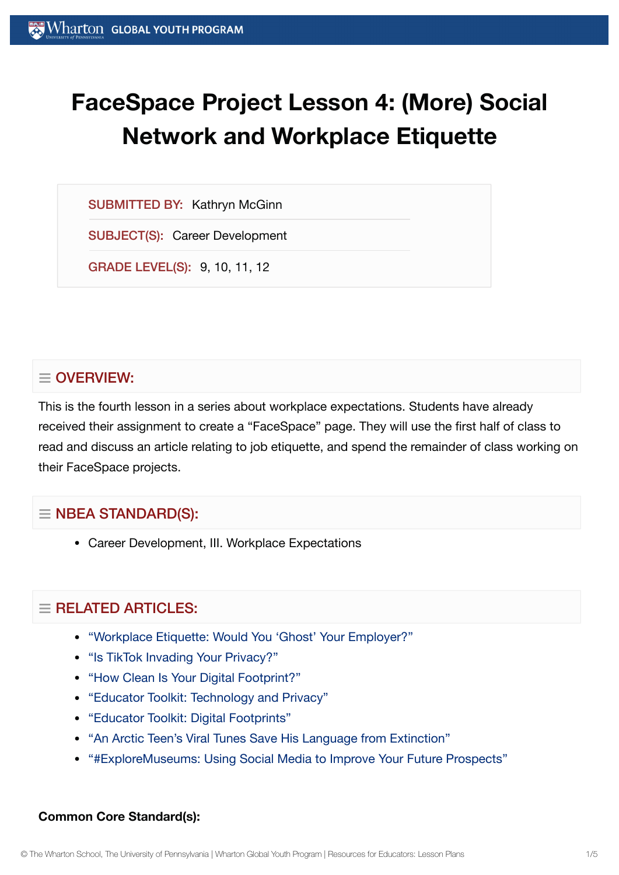# **FaceSpace Project Lesson 4: (More) Social Network and Workplace Etiquette**

SUBMITTED BY: Kathryn McGinn

SUBJECT(S): Career Development

GRADE LEVEL(S): 9, 10, 11, 12

# $\equiv$  OVERVIEW:

This is the fourth lesson in a series about workplace expectations. Students have already received their assignment to create a "FaceSpace" page. They will use the first half of class to read and discuss an article relating to job etiquette, and spend the remainder of class working on their FaceSpace projects.

# $\equiv$  NBEA STANDARD(S):

Career Development, III. Workplace Expectations

# $\equiv$  RELATED ARTICLES:

- "Workplace Etiquette: Would You 'Ghost' Your [Employer?"](https://globalyouth.wharton.upenn.edu/articles/ghosting-in-the-workplace/)
- ["Is TikTok](https://globalyouth.wharton.upenn.edu/articles/is-tiktok-invading-your-privacy/) Invading Your Privacy?"
- "How Clean Is Your Digital [Footprint?"](https://globalyouth.wharton.upenn.edu/articles/clean_digital_footprint/)
- "Educator Toolkit: [Technology and](https://globalyouth.wharton.upenn.edu/articles/educator-toolkit-technology-privacy/) Privacy"
- "Educator Toolkit: Digital [Footprints"](https://globalyouth.wharton.upenn.edu/articles/july-2017-digital-footprints/)
- "An Arctic Teen's Viral Tunes Save [His Language](https://globalyouth.wharton.upenn.edu/articles/arctic-teen-saves-language-extinction/) from Extinction"
- ["#ExploreMuseums:](https://globalyouth.wharton.upenn.edu/articles/using_social_media_wisely/) Using Social Media to Improve Your Future Prospects"

#### **Common Core Standard(s):**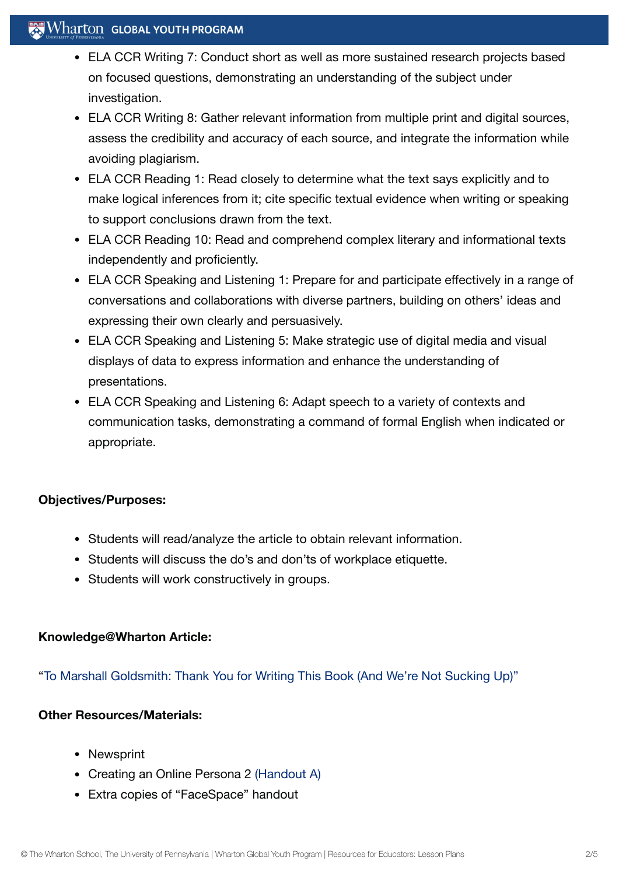# $\mathbb{R}$  Wharton Global Youth Program

- ELA CCR Writing 7: Conduct short as well as more sustained research projects based on focused questions, demonstrating an understanding of the subject under investigation.
- ELA CCR Writing 8: Gather relevant information from multiple print and digital sources, assess the credibility and accuracy of each source, and integrate the information while avoiding plagiarism.
- ELA CCR Reading 1: Read closely to determine what the text says explicitly and to make logical inferences from it; cite specific textual evidence when writing or speaking to support conclusions drawn from the text.
- ELA CCR Reading 10: Read and comprehend complex literary and informational texts independently and proficiently.
- ELA CCR Speaking and Listening 1: Prepare for and participate effectively in a range of conversations and collaborations with diverse partners, building on others' ideas and expressing their own clearly and persuasively.
- ELA CCR Speaking and Listening 5: Make strategic use of digital media and visual displays of data to express information and enhance the understanding of presentations.
- ELA CCR Speaking and Listening 6: Adapt speech to a variety of contexts and communication tasks, demonstrating a command of formal English when indicated or appropriate.

# **Objectives/Purposes:**

- Students will read/analyze the article to obtain relevant information.
- Students will discuss the do's and don'ts of workplace etiquette.
- Students will work constructively in groups.

# **Knowledge@Wharton Article:**

"To Marshall [Goldsmith:](http://knowledge.wharton.upenn.edu/article.cfm?articleid=1771) Thank You for Writing This Book (And We're Not Sucking Up)"

#### **Other Resources/Materials:**

- Newsprint
- Creating an Online Persona 2 [\(Handout](https://globalyouth.wharton.upenn.edu/wp-content/uploads/2012/01/Career-Development-22_handoutA.pdf) A)
- Extra copies of "FaceSpace" handout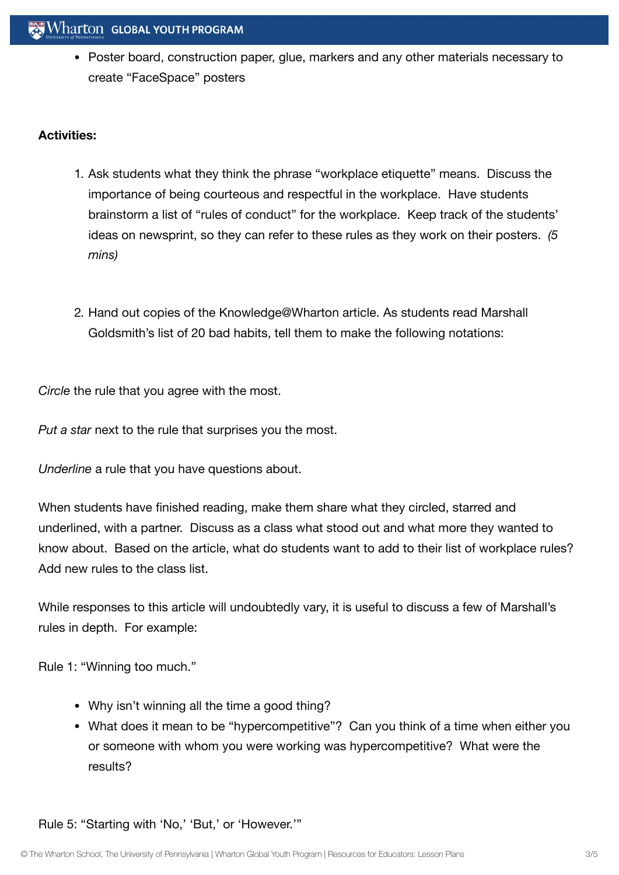Poster board, construction paper, glue, markers and any other materials necessary to create "FaceSpace" posters

# **Activities:**

- 1. Ask students what they think the phrase "workplace etiquette" means. Discuss the importance of being courteous and respectful in the workplace. Have students brainstorm a list of "rules of conduct" for the workplace. Keep track of the students' ideas on newsprint, so they can refer to these rules as they work on their posters. *(5 mins)*
- 2. Hand out copies of the Knowledge@Wharton article. As students read Marshall Goldsmith's list of 20 bad habits, tell them to make the following notations:

*Circle* the rule that you agree with the most.

*Put a star* next to the rule that surprises you the most.

*Underline* a rule that you have questions about.

When students have finished reading, make them share what they circled, starred and underlined, with a partner. Discuss as a class what stood out and what more they wanted to know about. Based on the article, what do students want to add to their list of workplace rules? Add new rules to the class list.

While responses to this article will undoubtedly vary, it is useful to discuss a few of Marshall's rules in depth. For example:

Rule 1: "Winning too much."

- Why isn't winning all the time a good thing?
- What does it mean to be "hypercompetitive"? Can you think of a time when either you or someone with whom you were working was hypercompetitive? What were the results?

Rule 5: "Starting with 'No,' 'But,' or 'However.'"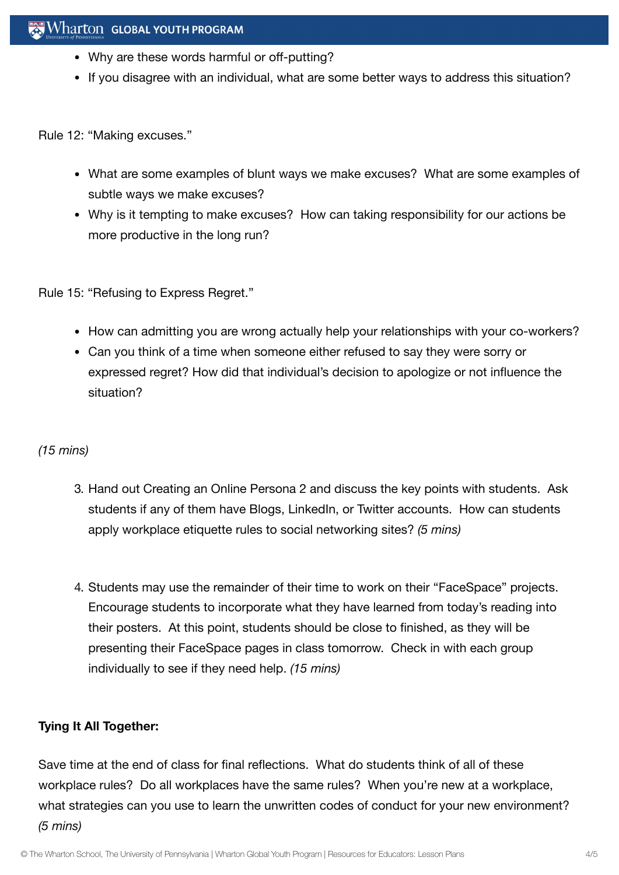- Why are these words harmful or off-putting?
- If you disagree with an individual, what are some better ways to address this situation?

Rule 12: "Making excuses."

- What are some examples of blunt ways we make excuses? What are some examples of subtle ways we make excuses?
- Why is it tempting to make excuses? How can taking responsibility for our actions be more productive in the long run?

Rule 15: "Refusing to Express Regret."

- How can admitting you are wrong actually help your relationships with your co-workers?
- Can you think of a time when someone either refused to say they were sorry or expressed regret? How did that individual's decision to apologize or not influence the situation?

# *(15 mins)*

- 3. Hand out Creating an Online Persona 2 and discuss the key points with students. Ask students if any of them have Blogs, LinkedIn, or Twitter accounts. How can students apply workplace etiquette rules to social networking sites? *(5 mins)*
- 4. Students may use the remainder of their time to work on their "FaceSpace" projects. Encourage students to incorporate what they have learned from today's reading into their posters. At this point, students should be close to finished, as they will be presenting their FaceSpace pages in class tomorrow. Check in with each group individually to see if they need help. *(15 mins)*

# **Tying It All Together:**

Save time at the end of class for final reflections. What do students think of all of these workplace rules? Do all workplaces have the same rules? When you're new at a workplace, what strategies can you use to learn the unwritten codes of conduct for your new environment? *(5 mins)*